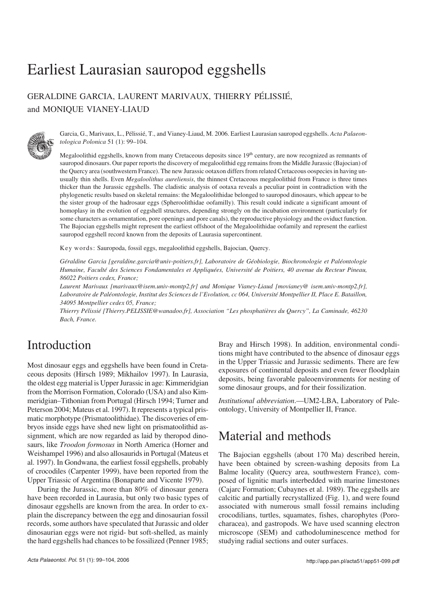# Earliest Laurasian sauropod eggshells

GERALDINE GARCIA, LAURENT MARIVAUX, THIERRY PÉLISSIÉ, and MONIQUE VIANEY−LIAUD



Garcia, G., Marivaux, L., Pélissié, T., and Vianey−Liaud, M. 2006. Earliest Laurasian sauropod eggshells. *Acta Palaeon− tologica Polonica* 51 (1): 99–104.

Megaloolithid eggshells, known from many Cretaceous deposits since 19<sup>th</sup> century, are now recognized as remnants of sauropod dinosaurs. Our paper reports the discovery of megaloolithid egg remains from the Middle Jurassic (Bajocian) of the Quercy area (southwestern France). The new Jurassic ootaxon differs from related Cretaceous oospecies in having un− usually thin shells. Even *Megaloolithus aureliensis*, the thinnest Cretaceous megaloolithid from France is three times thicker than the Jurassic eggshells. The cladistic analysis of ootaxa reveals a peculiar point in contradiction with the phylogenetic results based on skeletal remains: the Megaloolithidae belonged to sauropod dinosaurs, which appear to be the sister group of the hadrosaur eggs (Spheroolithidae oofamilly). This result could indicate a significant amount of homoplasy in the evolution of eggshell structures, depending strongly on the incubation environment (particularly for some characters as ornamentation, pore openings and pore canals), the reproductive physiology and the oviduct function. The Bajocian eggshells might represent the earliest offshoot of the Megaloolithidae oofamily and represent the earliest sauropod eggshell record known from the deposits of Laurasia supercontinent.

Key words: Sauropoda, fossil eggs, megaloolithid eggshells, Bajocian, Quercy.

*Géraldine Garcia [geraldine.garcia@univ−poitiers.fr], Laboratoire de Géobiologie, Biochronologie et Paléontologie Humaine, Faculté des Sciences Fondamentales et Appliquées, Université de Poitiers, 40 avenue du Recteur Pineau, 86022 Poitiers cedex, France;*

*Laurent Marivaux [marivaux@isem.univ−montp2.fr] and Monique Vianey−Liaud [movianey@ isem.univ−montp2.fr], Laboratoire de Paléontologie, Institut des Sciences de l'Evolution, cc 064, Université Montpellier II, Place E. Bataillon, 34095 Montpellier cedex 05, France;*

*Thierry Pélissié [Thierry.PELISSIE@wanadoo.fr], Association "Les phosphatières du Quercy", La Caminade, 46230 Bach, France.*

# Introduction

Most dinosaur eggs and eggshells have been found in Creta− ceous deposits (Hirsch 1989; Mikhailov 1997). In Laurasia, the oldest egg material is Upper Jurassic in age: Kimmeridgian from the Morrison Formation, Colorado (USA) and also Kim− meridgian–Tithonian from Portugal (Hirsch 1994; Turner and Peterson 2004; Mateus et al. 1997). It represents a typical pris− matic morphotype (Prismatoolithidae). The discoveries of em− bryos inside eggs have shed new light on prismatoolithid as− signment, which are now regarded as laid by theropod dino− saurs, like *Troodon formosus* in North America (Horner and Weishampel 1996) and also allosaurids in Portugal (Mateus et al. 1997). In Gondwana, the earliest fossil eggshells, probably of crocodiles (Carpenter 1999), have been reported from the Upper Triassic of Argentina (Bonaparte and Vicente 1979).

During the Jurassic, more than 80% of dinosaur genera have been recorded in Laurasia, but only two basic types of dinosaur eggshells are known from the area. In order to ex− plain the discrepancy between the egg and dinosaurian fossil records, some authors have speculated that Jurassic and older dinosaurian eggs were not rigid− but soft−shelled, as mainly the hard eggshells had chances to be fossilized (Penner 1985;

Bray and Hirsch 1998). In addition, environmental condi− tions might have contributed to the absence of dinosaur eggs in the Upper Triassic and Jurassic sediments. There are few exposures of continental deposits and even fewer floodplain deposits, being favorable paleoenvironments for nesting of some dinosaur groups, and for their fossilization.

*Institutional abbreviation*.—UM2−LBA, Laboratory of Pale− ontology, University of Montpellier II, France.

# Material and methods

The Bajocian eggshells (about 170 Ma) described herein, have been obtained by screen−washing deposits from La Balme locality (Quercy area, southwestern France), com− posed of lignitic marls interbedded with marine limestones (Cajarc Formation; Cubaynes et al. 1989). The eggshells are calcitic and partially recrystallized (Fig. 1), and were found associated with numerous small fossil remains including crocodilians, turtles, squamates, fishes, charophytes (Poro− characea), and gastropods. We have used scanning electron microscope (SEM) and cathodoluminescence method for studying radial sections and outer surfaces.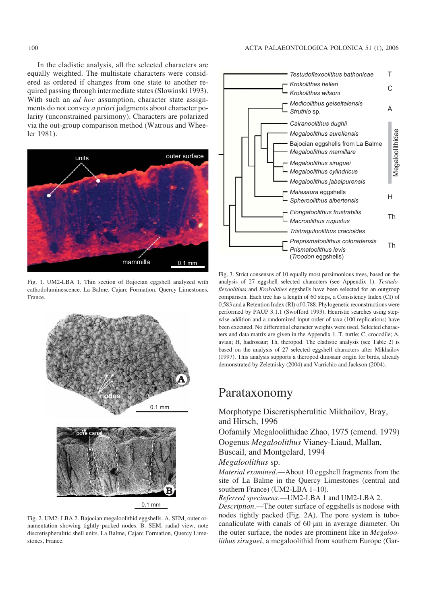In the cladistic analysis, all the selected characters are equally weighted. The multistate characters were consid− ered as ordered if changes from one state to another re− quired passing through intermediate states (Slowinski 1993). With such an *ad hoc* assumption, character state assign− ments do not convey *a priori* judgments about character po− larity (unconstrained parsimony). Characters are polarized via the out−group comparison method (Watrous and Whee− ler 1981).



Fig. 1. UM2−LBA 1. Thin section of Bajocian eggshell analyzed with cathodoluminescence. La Balme, Cajarc Formation, Quercy Limestones, France.



Fig. 2. UM2− LBA 2. Bajocian megaloolithid eggshells. A. SEM, outer or− namentation showing tightly packed nodes. B. SEM, radial view, note discretispherulitic shell units. La Balme, Cajarc Formation, Quercy Lime− stones, France.



Fig. 3. Strict consensus of 10 equally most parsimonious trees, based on the analysis of 27 eggshell selected characters (see Appendix 1). *Testudo− flexoolithus* and *Krokolithes* eggshells have been selected for an outgroup comparison. Each tree has a length of 60 steps, a Consistency Index (CI) of 0.583 and a Retention Index (RI) of 0.788. Phylogenetic reconstructions were performed by PAUP 3.1.1 (Swofford 1993). Heuristic searches using step− wise addition and a randomized input order of taxa (100 replications) have been executed. No differential character weights were used. Selected charac− ters and data matrix are given in the Appendix 1. T, turtle; C, crocodile; A, avian; H, hadrosaur; Th, theropod. The cladistic analysis (see Table 2) is based on the analysis of 27 selected eggshell characters after Mikhailov (1997). This analysis supports a theropod dinosaur origin for birds, already demonstrated by Zeletnisky (2004) and Varrichio and Jackson (2004).

## Parataxonomy

Morphotype Discretispherulitic Mikhailov, Bray, and Hirsch, 1996

Oofamily Megaloolithidae Zhao, 1975 (emend. 1979) Oogenus *Megaloolithus* Vianey−Liaud, Mallan, Buscail, and Montgelard, 1994

#### *Megaloolithus* sp.

*Material examined*.—About 10 eggshell fragments from the site of La Balme in the Quercy Limestones (central and southern France) (UM2−LBA 1–10).

*Referred specimens*.—UM2−LBA 1 and UM2−LBA 2.

*Description*.—The outer surface of eggshells is nodose with nodes tightly packed (Fig. 2A). The pore system is tubo− canaliculate with canals of 60 um in average diameter. On the outer surface, the nodes are prominent like in *Megaloo− lithus siruguei*, a megaloolithid from southern Europe (Gar−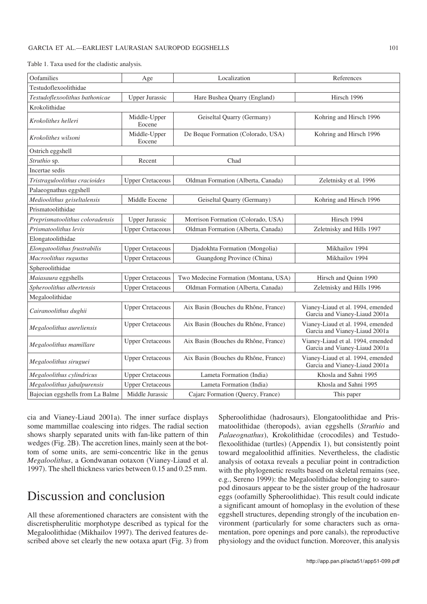#### GARCIA ET AL.—EARLIEST LAURASIAN SAUROPOD EGGSHELLS 101

Table 1. Taxa used for the cladistic analysis.

| Oofamilies                       | Age                     | Localization                          | References                                                         |  |  |  |  |  |  |  |  |
|----------------------------------|-------------------------|---------------------------------------|--------------------------------------------------------------------|--|--|--|--|--|--|--|--|
| Testudoflexoolithidae            |                         |                                       |                                                                    |  |  |  |  |  |  |  |  |
| Testudoflexoolithus bathonicae   | <b>Upper Jurassic</b>   | Hare Bushea Quarry (England)          | Hirsch 1996                                                        |  |  |  |  |  |  |  |  |
| Krokolithidae                    |                         |                                       |                                                                    |  |  |  |  |  |  |  |  |
| Krokolithes helleri              | Middle-Upper<br>Eocene  | Geiseltal Quarry (Germany)            | Kohring and Hirsch 1996                                            |  |  |  |  |  |  |  |  |
| Krokolithes wilsoni              | Middle-Upper<br>Eocene  | De Beque Formation (Colorado, USA)    | Kohring and Hirsch 1996                                            |  |  |  |  |  |  |  |  |
| Ostrich eggshell                 |                         |                                       |                                                                    |  |  |  |  |  |  |  |  |
| Struthio sp.                     | Recent                  | Chad                                  |                                                                    |  |  |  |  |  |  |  |  |
| Incertae sedis                   |                         |                                       |                                                                    |  |  |  |  |  |  |  |  |
| Tristraguloolithus cracioides    | <b>Upper Cretaceous</b> | Oldman Formation (Alberta, Canada)    | Zeletnisky et al. 1996                                             |  |  |  |  |  |  |  |  |
| Palaeognathus eggshell           |                         |                                       |                                                                    |  |  |  |  |  |  |  |  |
| Medioolithus geiseltalensis      | Middle Eocene           | Geiseltal Quarry (Germany)            | Kohring and Hirsch 1996                                            |  |  |  |  |  |  |  |  |
| Prismatoolithidae                |                         |                                       |                                                                    |  |  |  |  |  |  |  |  |
| Preprismatoolithus coloradensis  | <b>Upper Jurassic</b>   | Morrison Formation (Colorado, USA)    | Hirsch 1994                                                        |  |  |  |  |  |  |  |  |
| Prismatoolithus levis            | <b>Upper Cretaceous</b> | Oldman Formation (Alberta, Canada)    | Zeletnisky and Hills 1997                                          |  |  |  |  |  |  |  |  |
| Elongatoolithidae                |                         |                                       |                                                                    |  |  |  |  |  |  |  |  |
| Elongatoolithus frustrabilis     | <b>Upper Cretaceous</b> | Djadokhta Formation (Mongolia)        | Mikhailov 1994                                                     |  |  |  |  |  |  |  |  |
| Macroolithus rugustus            | <b>Upper Cretaceous</b> | Guangdong Province (China)            | Mikhailov 1994                                                     |  |  |  |  |  |  |  |  |
| Spheroolithidae                  |                         |                                       |                                                                    |  |  |  |  |  |  |  |  |
| Maiasaura eggshells              | <b>Upper Cretaceous</b> | Two Medecine Formation (Montana, USA) | Hirsch and Quinn 1990                                              |  |  |  |  |  |  |  |  |
| Spheroolithus albertensis        | <b>Upper Cretaceous</b> | Oldman Formation (Alberta, Canada)    | Zeletnisky and Hills 1996                                          |  |  |  |  |  |  |  |  |
| Megaloolithidae                  |                         |                                       |                                                                    |  |  |  |  |  |  |  |  |
| Cairanoolithus dughii            | <b>Upper Cretaceous</b> | Aix Basin (Bouches du Rhône, France)  | Vianey-Liaud et al. 1994, emended<br>Garcia and Vianey-Liaud 2001a |  |  |  |  |  |  |  |  |
| Megaloolithus aureliensis        | <b>Upper Cretaceous</b> | Aix Basin (Bouches du Rhône, France)  | Vianey-Liaud et al. 1994, emended<br>Garcia and Vianey-Liaud 2001a |  |  |  |  |  |  |  |  |
| Megaloolithus mamillare          | <b>Upper Cretaceous</b> | Aix Basin (Bouches du Rhône, France)  | Vianey-Liaud et al. 1994, emended<br>Garcia and Vianey-Liaud 2001a |  |  |  |  |  |  |  |  |
| Megaloolithus siruguei           | <b>Upper Cretaceous</b> | Aix Basin (Bouches du Rhône, France)  | Vianey-Liaud et al. 1994, emended<br>Garcia and Vianey-Liaud 2001a |  |  |  |  |  |  |  |  |
| Megaloolithus cylindricus        | <b>Upper Cretaceous</b> | Lameta Formation (India)              | Khosla and Sahni 1995                                              |  |  |  |  |  |  |  |  |
| Megaloolithus jabalpurensis      | <b>Upper Cretaceous</b> | Lameta Formation (India)              | Khosla and Sahni 1995                                              |  |  |  |  |  |  |  |  |
| Bajocian eggshells from La Balme | Middle Jurassic         | Cajarc Formation (Quercy, France)     | This paper                                                         |  |  |  |  |  |  |  |  |

cia and Vianey−Liaud 2001a). The inner surface displays some mammillae coalescing into ridges. The radial section shows sharply separated units with fan−like pattern of thin wedges (Fig. 2B). The accretion lines, mainly seen at the bot− tom of some units, are semi−concentric like in the genus *Megaloolithus*, a Gondwanan ootaxon (Vianey−Liaud et al. 1997). The shell thickness varies between 0.15 and 0.25 mm.

# Discussion and conclusion

All these aforementioned characters are consistent with the discretispherulitic morphotype described as typical for the Megaloolithidae (Mikhailov 1997). The derived features de− scribed above set clearly the new ootaxa apart (Fig. 3) from Spheroolithidae (hadrosaurs), Elongatoolithidae and Pris− matoolithidae (theropods), avian eggshells (*Struthio* and *Palaeognathus*), Krokolithidae (crocodiles) and Testudo− flexoolithidae (turtles) (Appendix 1), but consistently point toward megaloolithid affinities. Nevertheless, the cladistic analysis of ootaxa reveals a peculiar point in contradiction with the phylogenetic results based on skeletal remains (see, e.g., Sereno 1999): the Megaloolithidae belonging to sauro− pod dinosaurs appear to be the sister group of the hadrosaur eggs (oofamilly Spheroolithidae). This result could indicate a significant amount of homoplasy in the evolution of these eggshell structures, depending strongly of the incubation en− vironment (particularly for some characters such as orna− mentation, pore openings and pore canals), the reproductive physiology and the oviduct function. Moreover, this analysis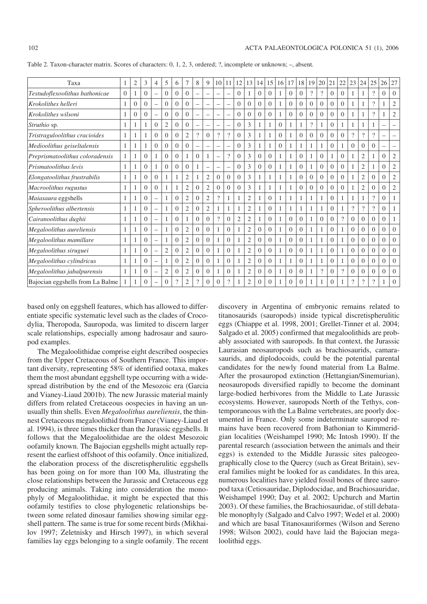| Taxa                             |          | 2        | 3              | 4                        | 5              | 6              | 7              | 8                        | 9                        | 10                       | 11                       | 12             | 13             | 14             | 15             | 16             | 17             | 18             | 19             | 20                       | 21             | 22                       | 23                       | 24             | 25                 | 26                       | 27             |
|----------------------------------|----------|----------|----------------|--------------------------|----------------|----------------|----------------|--------------------------|--------------------------|--------------------------|--------------------------|----------------|----------------|----------------|----------------|----------------|----------------|----------------|----------------|--------------------------|----------------|--------------------------|--------------------------|----------------|--------------------|--------------------------|----------------|
| Testudoflexoolithus bathonicae   | $\theta$ |          | $\Omega$       |                          | $\overline{0}$ | $\overline{0}$ | $\overline{0}$ | $\overline{\phantom{0}}$ | $\equiv$                 | $\equiv$                 | $\overline{\phantom{m}}$ | $\mathbf{0}$   | 1              | $\theta$       | $\theta$       | 1              | $\theta$       | $\theta$       | $\overline{?}$ | $\overline{\mathcal{L}}$ | $\overline{0}$ | $\theta$                 | 1                        | 1              | $\overline{\cdot}$ | $\theta$                 | $\Omega$       |
| Krokolithes helleri              |          | 0        | $\Omega$       | $=$                      | $\overline{0}$ | $\overline{0}$ | $\overline{0}$ | $\overline{\phantom{m}}$ | $\overline{\phantom{0}}$ | $\equiv$                 | $\equiv$                 | $\Omega$       | $\theta$       | $\theta$       | $\theta$       |                | $\overline{0}$ | $\overline{0}$ | $\overline{0}$ | $\overline{0}$           | $\overline{0}$ | $\theta$                 | 1                        | 1              | $\overline{?}$     |                          | $\mathfrak{2}$ |
| Krokolithes wilsoni              |          | $\Omega$ | $\Omega$       | $\overline{\phantom{0}}$ | $\Omega$       | $\overline{0}$ | $\overline{0}$ | $\qquad \qquad -$        | $\overline{\phantom{0}}$ | $\overline{\phantom{m}}$ | $=$                      | $\Omega$       | $\theta$       | $\Omega$       | $\theta$       |                | $\Omega$       | $\overline{0}$ | $\overline{0}$ | $\overline{0}$           | $\overline{0}$ | $\theta$                 | 1                        | 1              | $\overline{\cdot}$ |                          | $\overline{c}$ |
| Struthio sp.                     |          |          |                | $\overline{0}$           | $\overline{2}$ | $\overline{0}$ | $\overline{0}$ | $\overline{\phantom{m}}$ | $\overline{\phantom{0}}$ | $\overline{\phantom{0}}$ | $\overline{\phantom{m}}$ | $\Omega$       | 3              |                |                | $\overline{0}$ |                |                | $\overline{?}$ | 1                        | $\overline{0}$ | 1                        | 1                        |                |                    |                          |                |
| Tristraguloolithus cracioides    |          |          |                | $\Omega$                 | $\Omega$       | $\Omega$       | $\overline{2}$ | $\gamma$                 | $\Omega$                 | $\overline{\mathcal{L}}$ | $\overline{\mathcal{L}}$ | $\Omega$       | 3              |                |                | $\Omega$       |                | $\Omega$       | $\Omega$       | $\Omega$                 | $\Omega$       | $\theta$                 | $\overline{\mathcal{L}}$ | $\gamma$       | $\gamma$           | $\overline{\phantom{m}}$ |                |
| Medioolithus geiseltalensis      |          |          |                | $\Omega$                 | $\Omega$       | $\Omega$       | $\Omega$       | $\overline{\phantom{m}}$ | $\overline{\phantom{0}}$ | $\overline{\phantom{m}}$ | $\overline{\phantom{m}}$ | $\Omega$       | 3              |                |                | $\Omega$       |                |                |                |                          | $\Omega$       | 1                        | $\Omega$                 | $\Omega$       | $\Omega$           | $\overline{\phantom{0}}$ |                |
| Preprismatoolithus coloradensis  |          |          | $\theta$       |                          | $\Omega$       | $\overline{0}$ | 1              | $\overline{0}$           | 1                        | $\frac{1}{2}$            | $\gamma$                 | $\Omega$       | 3              | $\overline{0}$ | $\overline{0}$ |                |                | $\Omega$       |                | $\overline{0}$           | $\mathbf{1}$   | $\overline{0}$           | 1                        | $\mathfrak{2}$ | 1                  | $\Omega$                 | $\overline{2}$ |
| Prismatoolithus levis            |          |          | $\theta$       |                          | $\Omega$       | $\Omega$       | $\Omega$       | 1                        | $\overline{\phantom{0}}$ | $\overline{\phantom{m}}$ | $\overline{\phantom{m}}$ | $\Omega$       | 3              | $\Omega$       | $\Omega$       |                |                | $\Omega$       | 1              | $\Omega$                 | $\overline{0}$ | $\theta$                 | 1                        | $\overline{2}$ |                    | $\theta$                 | $\overline{c}$ |
| Elongatoolithus frustrabilis     |          |          | $\Omega$       | $\theta$                 |                |                | 2              |                          | $\overline{2}$           | $\theta$                 | $\Omega$                 | $\Omega$       | 3              |                |                |                |                | $\overline{0}$ | $\overline{0}$ | $\overline{0}$           | $\overline{0}$ | $\theta$                 | 1                        | 2              | $\Omega$           | $\overline{0}$           | $\overline{2}$ |
| Macroolithus rugustus            |          |          | $\overline{0}$ | $\overline{0}$           |                |                | $\overline{2}$ | $\overline{0}$           | $\mathfrak{2}$           | $\theta$                 | $\overline{0}$           | $\Omega$       | 3              |                |                |                |                | $\overline{0}$ | $\overline{0}$ | $\overline{0}$           | $\overline{0}$ | $\overline{0}$           | 1                        | $\overline{2}$ | $\mathbf{0}$       | $\overline{0}$           | $\mathfrak{2}$ |
| Maiasaura eggshells              |          |          | $\Omega$       | $\equiv$                 | 1              | $\overline{0}$ | 2              | $\overline{0}$           | $\overline{2}$           | $\overline{\mathcal{L}}$ | 1                        | 1              | $\overline{2}$ |                | $\overline{0}$ |                |                |                |                | 1                        | $\overline{0}$ | 1                        | 1                        | 1              | $\overline{?}$     | $\overline{0}$           |                |
| Spheroolithus albertensis        |          |          | $\Omega$       | $=$                      |                | $\overline{0}$ | 2              | $\overline{0}$           | $\mathfrak{2}$           | 1                        |                          |                | $\mathfrak{2}$ |                | $\overline{0}$ |                |                |                |                |                          | $\overline{0}$ |                          | $\overline{?}$           | $\gamma$       | $\gamma$           | $\Omega$                 |                |
| Cairanoolithus dughii            |          |          | $\theta$       | $\qquad \qquad -$        |                | $\overline{0}$ |                | $\overline{0}$           | $\theta$                 | $\overline{\mathcal{L}}$ | $\Omega$                 | $\overline{2}$ | $\overline{2}$ |                | $\theta$       |                | $\Omega$       | $\Omega$       |                | $\overline{0}$           | $\theta$       | $\overline{\mathcal{L}}$ | $\Omega$                 | $\Omega$       | $\Omega$           | $\Omega$                 |                |
| Megaloolithus aureliensis        |          |          | $\Omega$       |                          | 1              | $\overline{0}$ | $\overline{2}$ | $\overline{0}$           | $\overline{0}$           | 1                        | $\Omega$                 | 1              | $\overline{2}$ | $\overline{0}$ | $\overline{0}$ | 1              | $\overline{0}$ | $\overline{0}$ | 1              | 1                        | $\theta$       | 1                        | $\theta$                 | $\Omega$       | $\mathbf{0}$       | $\overline{0}$           | $\Omega$       |
| Megaloolithus mamillare          |          |          | $\Omega$       | $=$                      |                | $\overline{0}$ | 2              | $\overline{0}$           | $\theta$                 |                          | $\overline{0}$           |                | $\mathbf{2}$   | $\overline{0}$ | $\theta$       |                | $\overline{0}$ | $\overline{0}$ |                |                          | $\overline{0}$ |                          | $\theta$                 | $\theta$       | $\Omega$           | $\theta$                 | $\Omega$       |
| Megaloolithus siruguei           |          |          | $\Omega$       | $\overline{\phantom{0}}$ | $\mathfrak{2}$ | $\overline{0}$ | $\mathfrak{2}$ | $\overline{0}$           | $\overline{0}$           | 1                        | $\Omega$                 | 1              | $\overline{2}$ | $\Omega$       | $\Omega$       |                | $\theta$       | $\Omega$       | 1              |                          | $\overline{0}$ | 1                        | $\Omega$                 | $\Omega$       | $\Omega$           | $\Omega$                 | $\Omega$       |
| Megaloolithus cylindricus        |          |          | $\Omega$       |                          | 1              | $\overline{0}$ | 2              | $\overline{0}$           | $\overline{0}$           | 1                        | $\theta$                 |                | $\overline{2}$ | $\overline{0}$ | $\overline{0}$ |                |                | $\overline{0}$ | 1              | 1                        | $\overline{0}$ | 1                        | $\theta$                 | $\Omega$       | $\Omega$           | $\overline{0}$           | $\Omega$       |
| Megaloolithus jabalpurensis      |          |          | $\theta$       |                          | 2              | $\overline{0}$ | 2              | $\theta$                 | $\overline{0}$           |                          | $\overline{0}$           |                | $\overline{2}$ | $\theta$       | $\theta$       |                | $\Omega$       | $\Omega$       |                | $\overline{\mathcal{L}}$ | $\overline{0}$ | $\overline{\mathcal{L}}$ | $\theta$                 | $\Omega$       | $\Omega$           | $\Omega$                 | $\Omega$       |
| Bajocian eggshells from La Balme |          |          | $\Omega$       |                          |                | $\gamma$       | $\overline{2}$ | $\gamma$                 | $\Omega$                 | $\Omega$                 | $\gamma$                 |                | $\overline{2}$ | $\Omega$       | $\Omega$       |                |                |                |                |                          | $\Omega$       |                          | $\Omega$                 | $\gamma$       | $\gamma$           |                          | $\Omega$       |

Table 2. Taxon−character matrix. Scores of characters: 0, 1, 2, 3, ordered; ?, incomplete or unknown; –, absent.

based only on eggshell features, which has allowed to differ− entiate specific systematic level such as the clades of Croco− dylia, Theropoda, Sauropoda, was limited to discern larger scale relationships, especially among hadrosaur and sauro− pod examples.

The Megaloolithidae comprise eight described oospecies from the Upper Cretaceous of Southern France. This impor− tant diversity, representing 58% of identified ootaxa, makes them the most abundant eggshell type occurring with a wide− spread distribution by the end of the Mesozoic era (Garcia and Vianey−Liaud 2001b). The new Jurassic material mainly differs from related Cretaceous oospecies in having an un− usually thin shells. Even *Megaloolithus aureliensis*, the thin− nest Cretaceous megaloolithid from France (Vianey−Liaud et al. 1994), is three times thicker than the Jurassic eggshells. It follows that the Megaloolithidae are the oldest Mesozoic oofamily known. The Bajocian eggshells might actually rep− resent the earliest offshoot of this oofamily. Once initialized, the elaboration process of the discretispherulitic eggshells has been going on for more than 100 Ma, illustrating the close relationships between the Jurassic and Cretaceous egg producing animals. Taking into consideration the mono− phyly of Megaloolithidae, it might be expected that this oofamily testifies to close phylogenetic relationships be− tween some related dinosaur families showing similar egg− shell pattern. The same is true for some recent birds (Mikhai− lov 1997; Zeletnisky and Hirsch 1997), in which several families lay eggs belonging to a single oofamily. The recent

discovery in Argentina of embryonic remains related to titanosaurids (sauropods) inside typical discretispherulitic eggs (Chiappe et al. 1998, 2001; Grellet−Tinner et al. 2004; Salgado et al. 2005) confirmed that megaloolithids are prob− ably associated with sauropods. In that context, the Jurassic Laurasian neosauropods such as brachiosaurids, camara− saurids, and diplodocoids, could be the potential parental candidates for the newly found material from La Balme. After the prosauropod extinction (Hettangian/Sinemurian), neosauropods diversified rapidly to become the dominant large−bodied herbivores from the Middle to Late Jurassic ecosystems. However, sauropods North of the Tethys, con− temporaneous with the La Balme vertebrates, are poorly doc− umented in France. Only some indeterminate sauropod re− mains have been recovered from Bathonian to Kimmerid− gian localities (Weishampel 1990; Mc Intosh 1990). If the parental research (association between the animals and their eggs) is extended to the Middle Jurassic sites paleogeo− graphically close to the Quercy (such as Great Britain), sev− eral families might be looked for as candidates. In this area, numerous localities have yielded fossil bones of three sauro− pod taxa (Cetiosauridae, Diplodocidae, and Brachiosauridae, Weishampel 1990; Day et al. 2002; Upchurch and Martin 2003). Of these families, the Brachiosauridae, of still debata− ble monophyly (Salgado and Calvo 1997; Wedel et al. 2000) and which are basal Titanosauriformes (Wilson and Sereno 1998; Wilson 2002), could have laid the Bajocian mega− loolithid eggs.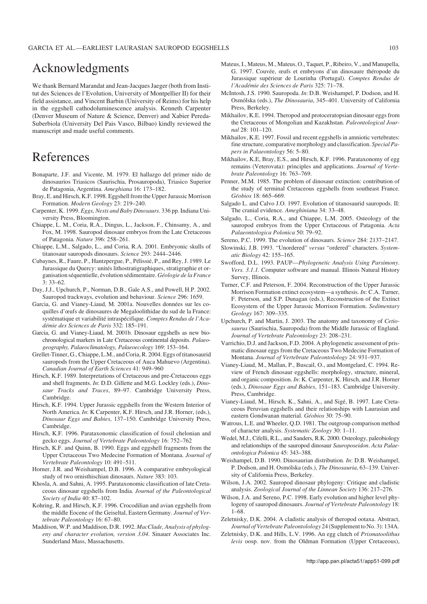## Acknowledgments

We thank Bernard Marandat and Jean−Jacques Jaeger (both from Insti− tut des Sciences de l'Evolution, University of Montpellier II) for their field assistance, and Vincent Barbin (University of Reims) for his help in the eggshell cathodoluminescence analysis. Kenneth Carpenter (Denver Museum of Nature & Science, Denver) and Xabier Pereda− Suberbiola (University Del Pais Vasco, Bilbao) kindly reviewed the manuscript and made useful comments.

## References

- Bonaparte, J.F. and Vicente, M. 1979. El hallazgo del primer nido de dinosaurios Triasicos (Saurischia, Prosauropoda), Triasico Superior de Patagonia, Argentina. *Ameghiana* 16: 173–182.
- Bray, E. and Hirsch, K.F. 1998. Eggshell from the Upper Jurassic Morrison Formation. *Modern Geology* 23: 219–240.
- Carpenter, K. 1999. *Eggs, Nests and Baby Dinosaurs*. 336 pp. Indiana Uni− versity Press, Bloomington.
- Chiappe, L. M., Coria, R.A., Dingus, L., Jackson, F., Chinsamy, A., and Fox, M. 1998. Sauropod dinosaur embryos from the Late Cretaceous of Patagonia. *Nature* 396: 258–261.
- Chiappe, L.M., Salgado, L., and Coria, R.A. 2001. Embryonic skulls of titanosaur sauropods dinosaurs. *Science* 293: 2444–2446.
- Cubaynes, R., Faure, P., Hantzpergue, P., Pélissié, P., and Rey, J. 1989. Le Jurassique du Quercy: unités lithostratigraphiques, stratigraphie et or− ganisation séquentielle, évolution sédimentaire. *Géologie de la France*  $3:33-62.$
- Day, J.J., Upchurch, P., Norman, D.B., Gale A.S., and Powell, H.P. 2002. Sauropod trackways, evolution and behaviour. *Science* 296: 1659.
- Garcia, G. and Vianey−Liaud, M. 2001a. Nouvelles données sur les co− quilles d'œufs de dinosaures de Megaloolithidae du sud de la France: systématique et variabilité intraspécifique. *Comptes Rendus de l'Aca− démie des Sciences de Paris* 332: 185–191.
- Garcia, G. and Vianey−Liaud, M. 2001b. Dinosaur eggshells as new bio− chronological markers in Late Cretaceous continental deposits. *Palaeo− geography, Palaeoclimatology, Palaeoecology* 169: 153–164.
- Grellet−Tinner, G., Chiappe, L.M., and Coria, R. 2004. Eggs of titanosaurid sauropods from the Upper Cretaceous of Auca Mahuevo (Argentina). *Canadian Journal of Earth Sciences* 41: 949–960
- Hirsch, K.F. 1989. Interpretations of Cretaceous and pre−Cretaceous eggs and shell fragments. *In*: D.D. Gillette and M.G. Lockley (eds.), *Dino− saur Tracks and Traces*, 89–97. Cambridge University Press, Cambridge.
- Hirsch, K.F. 1994. Upper Jurassic eggshells from the Western Interior of North America. *In*: K Carpenter, K.F. Hirsch, and J.R. Horner, (eds.), *Dinosaur Eggs and Babies*, 137–150. Cambridge University Press, Cambridge.
- Hirsch, K.F. 1996. Parataxonomic classification of fossil chelonian and gecko eggs. *Journal of Vertebrate Paleontology* 16: 752–762
- Hirsch, K.F. and Quinn, B. 1990. Eggs and eggshell fragments from the Upper Cretaceous Two Medecine Formation of Montana. *Journal of Vertebrate Paleontology* 10: 491–511.
- Horner, J.R. and Weishampel, D.B. 1996. A comparative embryological study of two ornisthischian dinosaurs. *Nature* 383: 103.
- Khosla, A. and Sahni, A. 1995. Parataxonomic classification of late Creta− ceous dinosaur eggshells from India. *Journal of the Paleontological Society of India* 40: 87–102.
- Kohring, R. and Hirsch, K.F. 1996. Crocodilian and avian eggshells from the middle Eocene of the Geiseltal, Eastern Germany. *Journal of Ver− tebrate Paleontology* 16: 67–80.
- Maddison, W.P. and Maddison, D.R. 1992. *MacClade, Analysis of phylog− eny and character evolution, version 3.04*. Sinauer Associates Inc. Sunderland Mass, Massachusetts.
- Mateus, I., Mateus, M., Mateus, O., Taquet, P., Ribeiro, V., and Manupella, G. 1997. Couvée, œufs et embryons d'un dinosaure théropode du Jurassique supérieur de Lourinha (Portugal). *Comptes Rendus de l'Académie des Sciences de Paris* 325: 71–78.
- McIntosh, J.S. 1990. Sauropoda. *In*: D.B. Weishampel, P. Dodson, and H. Osmólska (eds.), *The Dinosauria*, 345–401. University of California Press, Berkeley.
- Mikhailov, K.E. 1994. Theropod and protoceratopsian dinosaur eggs from the Cretaceous of Mongolian and Kazakhstan. *Paleontological Jour− nal* 28: 101–120.
- Mikhailov, K.E. 1997. Fossil and recent eggshells in amniotic vertebrates: fine structure, comparative morphology and classification. *Special Pa− pers in Palaeontology* 56: 5–80.
- Mikhailov, K.E, Bray, E.S., and Hirsch, K.F. 1996. Parataxonomy of egg remains (Veterovata): principles and applications. *Journal of Verte− brate Paleontology* 16: 763–769.
- Penner, M.M. 1985. The problem of dinosaur extinction: contribution of the study of terminal Cretaceous eggshells from southeast France. *Géobios* 18: 665–669.
- Salgado L. and Calvo J.O. 1997. Evolution of titanosaurid sauropods. II: The cranial evidence. *Ameghiniana* 34: 33–48.
- Salgado, L., Coria, R.A., and Chiappe, L.M. 2005. Osteology of the sauropod embryos from the Upper Cretaceous of Patagonia. *Acta Palaeontologica Polonica* 50: 79–92.
- Sereno, P.C. 1999. The evolution of dinosaurs. *Science* 284: 2137–2147.
- Slowinski, J.B. 1993. "Unordered" *versus* "ordered" characters. *System− atic Biology* 42: 155–165.
- Swofford, D.L. 1993. PAUP—*Phylogenetic Analysis Using Parsimony*. *Vers. 3.1.1.* Computer software and manual. Illinois Natural History Survey, Illinois.
- Turner, C.F. and Peterson, F. 2004. Reconstruction of the Upper Jurassic Morrison Formation extinct ecosystem—a synthesis. *In*: C.A. Turner, F. Peterson, and S.P. Dunagan (eds.), Reconstruction of the Extinct Ecosystem of the Upper Jurassic Morrison Formation. *Sedimentary Geology* 167: 309–335.
- Upchurch, P. and Martin, J. 2003. The anatomy and taxonomy of *Cetio− saurus* (Saurischia, Sauropoda) from the Middle Jurassic of England. *Journal of Vertebrate Paleontology* 23: 208–231.
- Varrichio, D.J. and Jackson, F.D. 2004. A phylogenetic assessment of pris− matic dinosaur eggs from the Cretaceous Two Medecine Formation of Montana. *Journal of Vertebrate Paleontolology* 24: 931–937.
- Vianey−Liaud, M., Mallan, P., Buscail, O., and Montgelard, C. 1994. Re− view of French dinosaur eggshells: morphology, structure, mineral, and organic composition. *In*: K. Carpenter, K. Hirsch, and J.R. Horner (eds.), *Dinosaur Eggs and Babies*, 151–183. Cambridge University. Press, Cambridge.
- Vianey−Liaud, M., Hirsch, K., Sahni, A., and Sigé, B. 1997. Late Creta− ceous Peruvian eggshells and their relationships with Laurasian and eastern Gondwanan material. *Géobios* 30: 75–90.
- Watrous, L.E. and Wheeler, Q.D. 1981. The outgroup comparison method of character analysis. *Systematic Zoology* 30: 1–11.
- Wedel, M.J., Cifelli, R.L., and Sanders, R.K. 2000. Osteology, paleobiology and relationships of the sauropod dinosaur *Sauroposeidon*. *Acta Palae− ontologica Polonica* 45: 343–388.
- Weishampel, D.B. 1990. Dinosaurian distribution. *In*: D.B. Weishampel, P. Dodson, and H. Osmólska (eds.), *The Dinosauria*, 63–139. Univer− sity of California Press, Berkeley.
- Wilson, J.A. 2002. Sauropod dinosaur phylogeny: Critique and cladistic analysis. *Zoological Journal of the Linnean Society* 136: 217–276.
- Wilson, J.A. and Sereno, P.C. 1998. Early evolution and higher level phy− logeny of sauropod dinosaurs. *Journal of Vertebrate Paleontology* 18: 1–68.
- Zeletnisky, D.K. 2004. A cladistic analysis of theropod ootaxa. Abstract, *Journal of Vertebrate Paleontolology* 24 (Supplement to No. 3): 134A.
- Zeletnisky, D.K. and Hills, L.V. 1996. An egg clutch of *Prismatoolithus levis* oosp. nov. from the Oldman Formation (Upper Cretaceous),